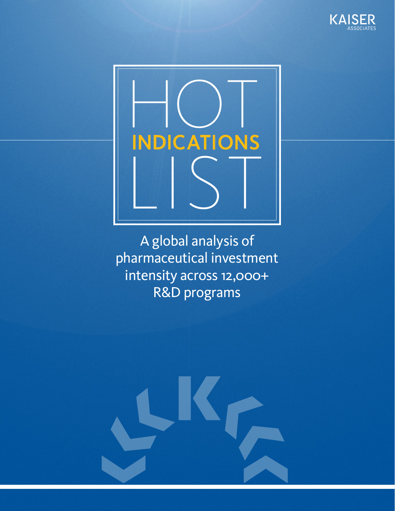



A global analysis of pharmaceutical investment intensity across 12,000+ R&D programs

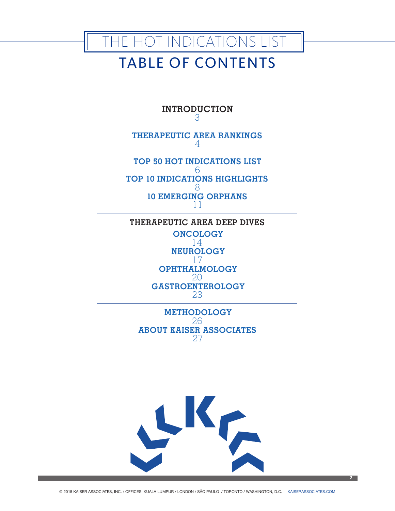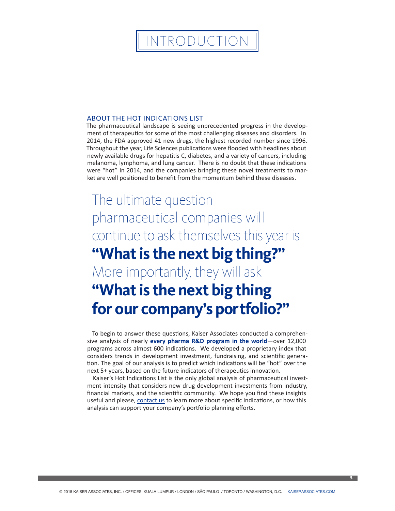### INTRODUCTION

#### ABOUT THE HOT INDICATIONS LIST

The pharmaceutical landscape is seeing unprecedented progress in the development of therapeutics for some of the most challenging diseases and disorders. In 2014, the FDA approved 41 new drugs, the highest recorded number since 1996. Throughout the year, Life Sciences publications were flooded with headlines about newly available drugs for hepatitis C, diabetes, and a variety of cancers, including melanoma, lymphoma, and lung cancer. There is no doubt that these indications were "hot" in 2014, and the companies bringing these novel treatments to market are well positioned to benefit from the momentum behind these diseases.

## The ultimate question pharmaceutical companies will continue to ask themselves this year is **"What is the next big thing?"**

More importantly, they will ask

### **"What is the next big thing for our company's portfolio?"**

To begin to answer these questions, Kaiser Associates conducted a comprehensive analysis of nearly **every pharma R&D program in the world**—over 12,000 programs across almost 600 indications. We developed a proprietary index that considers trends in development investment, fundraising, and scientific generation. The goal of our analysis is to predict which indications will be "hot" over the next 5+ years, based on the future indicators of therapeutics innovation.

Kaiser's Hot Indications List is the only global analysis of pharmaceutical investment intensity that considers new drug development investments from industry, financial markets, and the scientific community. We hope you find these insights useful and please, [contact us](http://info.kaiserassociates.com/hot-indications/contact-the-healthcare-team) to learn more about specific indications, or how this analysis can support your company's portfolio planning efforts.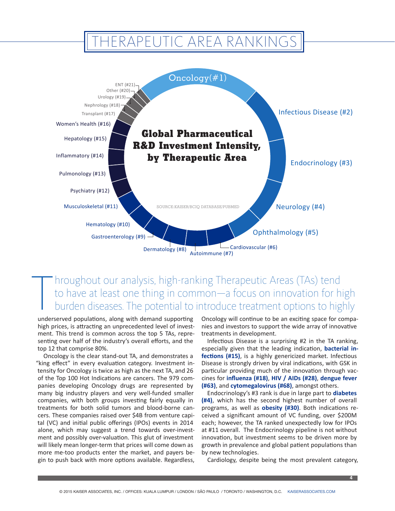### THERAPEUTIC AREA RANKINGS



### $\begin{array}{c}\n\hline\n\end{array}$ hroughout our analysis, high-ranking Therapeutic Areas (TAs) tend to have at least one thing in common—a focus on innovation for high burden diseases. The potential to introduce treatment options to highly

underserved populations, along with demand supporting high prices, is attracting an unprecedented level of investment. This trend is common across the top 5 TAs, representing over half of the industry's overall efforts, and the top 12 that comprise 80%.

Oncology is the clear stand-out TA, and demonstrates a "king effect" in every evaluation category. Investment intensity for Oncology is twice as high as the next TA, and 26 of the Top 100 Hot Indications are cancers. The 979 companies developing Oncology drugs are represented by many big industry players and very well-funded smaller companies, with both groups investing fairly equally in treatments for both solid tumors and blood-borne cancers. These companies raised over \$4B from venture capital (VC) and initial public offerings (IPOs) events in 2014 alone, which may suggest a trend towards over-investment and possibly over-valuation. This glut of investment will likely mean longer-term that prices will come down as more me-too products enter the market, and payers begin to push back with more options available. Regardless,

Oncology will continue to be an exciting space for companies and investors to support the wide array of innovative treatments in development.

Infectious Disease is a surprising #2 in the TA ranking, especially given that the leading indication, **bacterial infections (#15)**, is a highly genericized market. Infectious Disease is strongly driven by viral indications, with GSK in particular providing much of the innovation through vaccines for **influenza (#18)**, **HIV / AIDs (#28)**, **dengue fever (#63)**, and **cytomegalovirus (#68)**, amongst others.

Endocrinology's #3 rank is due in large part to **diabetes (#4)**, which has the second highest number of overall programs, as well as **obesity (#30)**. Both indications received a significant amount of VC funding, over \$200M each; however, the TA ranked unexpectedly low for IPOs at #11 overall. The Endocrinology pipeline is not without innovation, but investment seems to be driven more by growth in prevalence and global patient populations than by new technologies.

Cardiology, despite being the most prevalent category,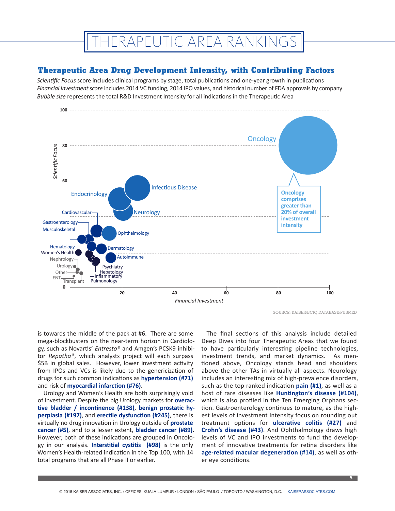### **IERAPEUTIC AREA RANKINGS**

#### **Therapeutic Area Drug Development Intensity, with Contributing Factors**

*Scientific Focus* score includes clinical programs by stage, total publications and one-year growth in publications *Financial Investment score* includes 2014 VC funding, 2014 IPO values, and historical number of FDA approvals by company *Bubble size* represents the total R&D Investment Intensity for all indications in the Therapeutic Area



SOURCE: KAISER/BCIQ DATABASE/PUBMED

is towards the middle of the pack at #6. There are some mega-blockbusters on the near-term horizon in Cardiology, such as Novartis' *Entresto®* and Amgen's PCSK9 inhibitor *Repatha®*, which analysts project will each surpass \$5B in global sales. However, lower investment activity from IPOs and VCs is likely due to the genericization of drugs for such common indications as **hypertension (#71)** and risk of **myocardial infarction (#76)**.

Urology and Women's Health are both surprisingly void of investment. Despite the big Urology markets for **overactive bladder / incontinence (#138)**, **benign prostatic hyperplasia (#197)**, and **erectile dysfunction (#245)**, there is virtually no drug innovation in Urology outside of **prostate cancer (#5)**, and to a lesser extent, **bladder cancer (#89)**. However, both of these indications are grouped in Oncology in our analysis. **Interstitial cystitis (#98)** is the only Women's Health-related indication in the Top 100, with 14 total programs that are all Phase II or earlier.

The final sections of this analysis include detailed Deep Dives into four Therapeutic Areas that we found to have particularly interesting pipeline technologies, investment trends, and market dynamics. As mentioned above, Oncology stands head and shoulders above the other TAs in virtually all aspects. Neurology includes an interesting mix of high-prevalence disorders, such as the top ranked indication **pain (#1)**, as well as a host of rare diseases like **Huntington's disease (#104)**, which is also profiled in the Ten Emerging Orphans section. Gastroenterology continues to mature, as the highest levels of investment intensity focus on rounding out treatment options for **ulcerative colitis (#27)** and **Crohn's disease (#43)**. And Ophthalmology draws high levels of VC and IPO investments to fund the development of innovative treatments for retina disorders like **age-related macular degeneration (#14)**, as well as other eye conditions.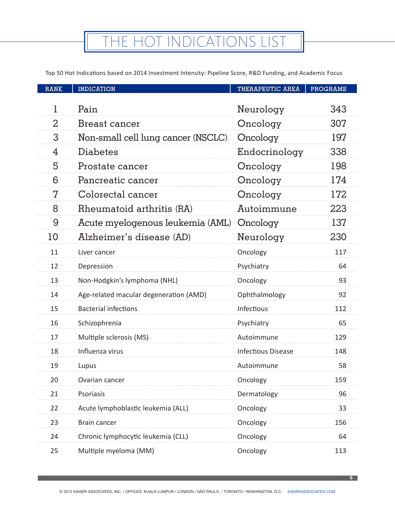Top 50 Hot Indications based on 2014 Investment Intensity: Pipeline Score, R&D Funding, and Academic Focus

| <b>RANK</b>    | <b>INDICATION</b>                      | <b>THERAPEUTIC AREA</b>   | <b>PROGRAMS</b> |
|----------------|----------------------------------------|---------------------------|-----------------|
| 1              | Pain                                   | Neurology                 | 343             |
| $\overline{2}$ | Breast cancer                          |                           | 307             |
| 3              |                                        | Oncology                  |                 |
|                | Non-small cell lung cancer (NSCLC)     | Oncology                  | 197             |
| 4              | Diabetes                               | Endocrinology             | 338             |
| 5              | Prostate cancer                        | Oncology                  | 198             |
| 6              | Pancreatic cancer                      | Oncology                  | 174             |
| 7              | Colorectal cancer                      | Oncology                  | 172             |
| 8              | Rheumatoid arthritis (RA)              | Autoimmune                | 223             |
| 9              | Acute myelogenous leukemia (AML)       | Oncology                  | 137             |
| 10             | Alzheimer's disease (AD)               | Neurology                 | 230             |
| 11             | Liver cancer                           | Oncology                  | 117             |
| 12             | Depression                             | Psychiatry                | 64              |
| 13             | Non-Hodgkin's lymphoma (NHL)           | Oncology                  | 93              |
| 14             | Age-related macular degeneration (AMD) | Ophthalmology             | 92              |
| 15             | <b>Bacterial infections</b>            | Infectious                | 112             |
| 16             | Schizophrenia                          | Psychiatry                | 65              |
| 17             | Multiple sclerosis (MS)                | Autoimmune                | 129             |
| 18             | Influenza virus                        | <b>Infectious Disease</b> | 148             |
| 19             | Lupus                                  | Autoimmune                | 58              |
| 20             | Ovarian cancer                         | Oncology                  | 159             |
| 21             | Psoriasis                              | Dermatology               | 96              |
| 22             | Acute lymphoblastic leukemia (ALL)     | Oncology                  | 33              |
| 23             | Brain cancer                           | Oncology                  | 156             |
| 24             | Chronic lymphocytic leukemia (CLL)     | Oncology                  | 64              |
| 25             | Multiple myeloma (MM)                  | Oncology                  | 113             |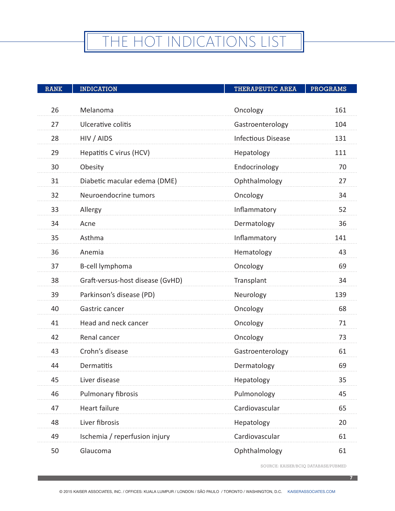# THE HOT INDICATIONS LIST

| <b>RANK</b> | <b>INDICATION</b>                | <b>THERAPEUTIC AREA</b>   | <b>PROGRAMS</b> |
|-------------|----------------------------------|---------------------------|-----------------|
|             |                                  |                           |                 |
| 26          | Melanoma                         | Oncology                  | 161             |
| 27          | Ulcerative colitis               | Gastroenterology          | 104             |
| 28          | HIV / AIDS                       | <b>Infectious Disease</b> | 131             |
| 29          | Hepatitis C virus (HCV)          | Hepatology                | 111             |
| 30          | Obesity                          | Endocrinology             | 70              |
| 31          | Diabetic macular edema (DME)     | Ophthalmology             | 27              |
| 32          | Neuroendocrine tumors            | Oncology                  | 34              |
| 33          | Allergy                          | Inflammatory              | 52              |
| 34          | Acne                             | Dermatology               | 36              |
| 35          | Asthma                           | Inflammatory              | 141             |
| 36          | Anemia                           | Hematology                | 43              |
| 37          | B-cell lymphoma                  | Oncology                  | 69              |
| 38          | Graft-versus-host disease (GvHD) | Transplant                | 34              |
| 39          | Parkinson's disease (PD)         | Neurology                 | 139             |
| 40          | Gastric cancer                   | Oncology                  | 68              |
| 41          | Head and neck cancer             | Oncology                  | 71              |
| 42          | Renal cancer                     | Oncology                  | 73              |
| 43          | Crohn's disease                  | Gastroenterology          | 61              |
| 44          | Dermatitis                       | Dermatology               | 69              |
| 45          | Liver disease                    | Hepatology                | 35              |
| 46          | Pulmonary fibrosis               | Pulmonology               | 45              |
| 47          | Heart failure                    | Cardiovascular            | 65              |
| 48          | Liver fibrosis                   | Hepatology                | 20              |
| 49          | Ischemia / reperfusion injury    | Cardiovascular            | 61              |
| 50          | Glaucoma                         | Ophthalmology             | 61              |

SOURCE: KAISER/BCIQ DATABASE/PUBMED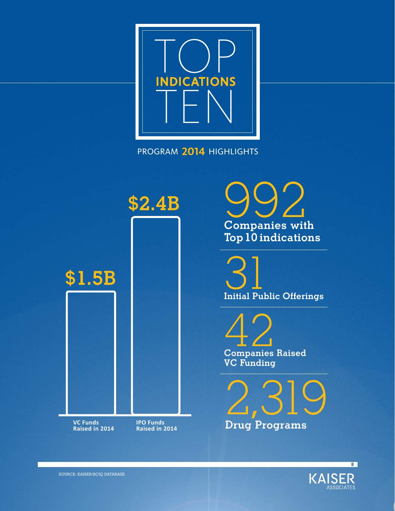

PROGRAM **2014** HIGHLIGHTS



992 **Companies with Top 10 indications**

31 **Initial Public Offerings**

42 **Companies Raised VC Funding**

2,319 **Drug Programs**

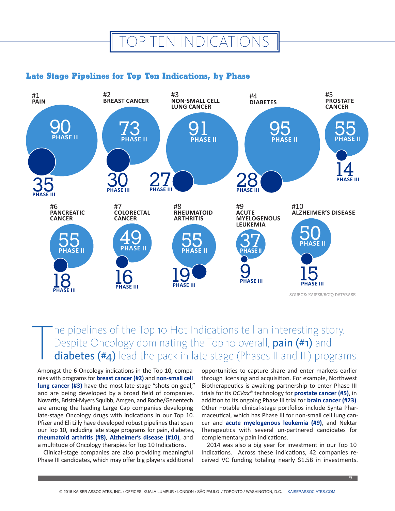### OP TEN INDICATIONS

### **Late Stage Pipelines for Top Ten Indications, by Phase**



T he pipelines of the Top 10 Hot Indications tell an interesting story. Despite Oncology dominating the Top 10 overall, pain (#1) and diabetes (#4) lead the pack in late stage (Phases II and III) programs.

Amongst the 6 Oncology indications in the Top 10, companies with programs for **breast cancer (#2)** and **non-small cell lung cancer (#3)** have the most late-stage "shots on goal," and are being developed by a broad field of companies. Novartis, Bristol-Myers Squibb, Amgen, and Roche/Genentech are among the leading Large Cap companies developing late-stage Oncology drugs with indications in our Top 10. Pfizer and Eli Lilly have developed robust pipelines that span our Top 10, including late stage programs for pain, diabetes, **rheumatoid arthritis (#8)**, **Alzheimer's disease (#10)**, and a multitude of Oncology therapies for Top 10 Indications.

Clinical-stage companies are also providing meaningful Phase III candidates, which may offer big players additional

opportunities to capture share and enter markets earlier through licensing and acquisition. For example, Northwest Biotherapeutics is awaiting partnership to enter Phase III trials for its *DCVax*® technology for **prostate cancer (#5)**, in addition to its ongoing Phase III trial for **brain cancer (#23)**. Other notable clinical-stage portfolios include Synta Pharmaceutical, which has Phase III for non-small cell lung cancer and **acute myelogenous leukemia (#9)**, and Nektar Therapeutics with several un-partnered candidates for complementary pain indications.

2014 was also a big year for investment in our Top 10 Indications. Across these indications, 42 companies received VC funding totaling nearly \$1.5B in investments.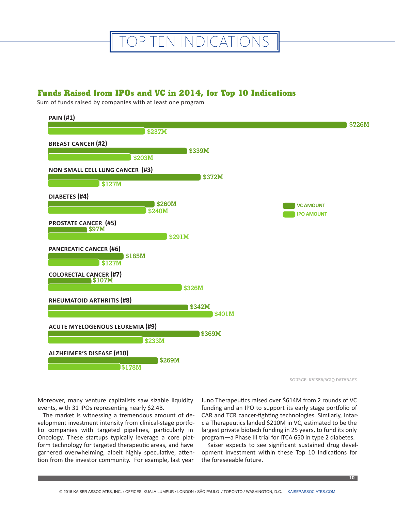

### **Funds Raised from IPOs and VC in 2014, for Top 10 Indications**

Sum of funds raised by companies with at least one program



SOURCE: KAISER/BCIQ DATABASE

Moreover, many venture capitalists saw sizable liquidity events, with 31 IPOs representing nearly \$2.4B.

The market is witnessing a tremendous amount of development investment intensity from clinical-stage portfolio companies with targeted pipelines, particularly in Oncology. These startups typically leverage a core platform technology for targeted therapeutic areas, and have garnered overwhelming, albeit highly speculative, attention from the investor community. For example, last year

Juno Therapeutics raised over \$614M from 2 rounds of VC funding and an IPO to support its early stage portfolio of CAR and TCR cancer-fighting technologies. Similarly, Intarcia Therapeutics landed \$210M in VC, estimated to be the largest private biotech funding in 25 years, to fund its only program—a Phase III trial for ITCA 650 in type 2 diabetes.

Kaiser expects to see significant sustained drug development investment within these Top 10 Indications for the foreseeable future.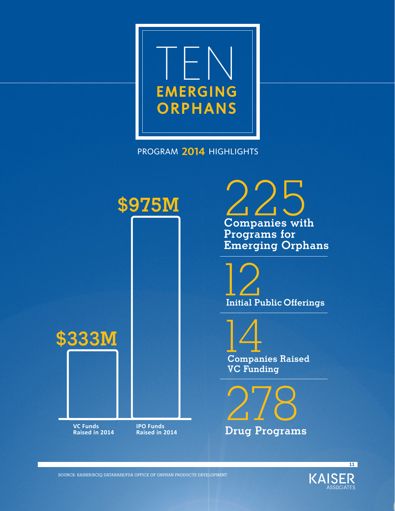

PROGRAM **2014** HIGHLIGHTS



225 **Companies with Programs for Emerging Orphans**



14 **Companies Raised VC Funding**

278 **Drug Programs**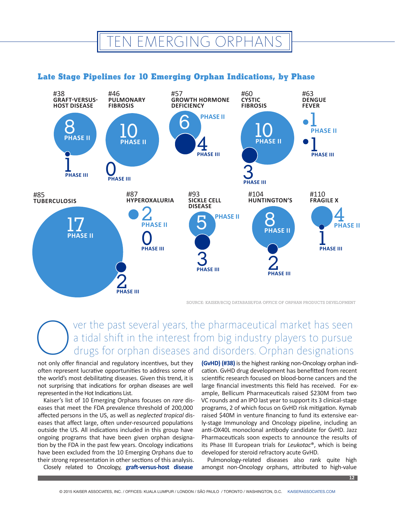### EN EMERGING ORPHANS

### **Late Stage Pipelines for 10 Emerging Orphan Indications, by Phase**



SOURCE: KAISER/BCIQ DATABASE/FDA OFFICE OF ORPHAN PRODUCTS DEVELOPMENT

### Over the past several years, the pharmaceutical market has seen<br>a tidal shift in the interest from big industry players to pursue<br>drugs for orphan diseases and disorders. Orphan designations<br>not only offer financial and re a tidal shift in the interest from big industry players to pursue drugs for orphan diseases and disorders. Orphan designations

not only offer financial and regulatory incentives, but they often represent lucrative opportunities to address some of the world's most debilitating diseases. Given this trend, it is not surprising that indications for orphan diseases are well represented in the Hot Indications List.

Kaiser's list of 10 Emerging Orphans focuses on *rare* diseases that meet the FDA prevalence threshold of 200,000 affected persons in the US, as well as *neglected tropical* diseases that affect large, often under-resourced populations outside the US. All indications included in this group have ongoing programs that have been given orphan designation by the FDA in the past few years. Oncology indications have been excluded from the 10 Emerging Orphans due to their strong representation in other sections of this analysis.

Closely related to Oncology, **graft-versus-host disease** 

**(GvHD) (#38)** is the highest ranking non-Oncology orphan indication. GvHD drug development has benefitted from recent scientific research focused on blood-borne cancers and the large financial investments this field has received. For example, Bellicum Pharmaceuticals raised \$230M from two VC rounds and an IPO last year to support its 3 clinical-stage programs, 2 of which focus on GvHD risk mitigation. Kymab raised \$40M in venture financing to fund its extensive early-stage Immunology and Oncology pipeline, including an anti-OX40L monoclonal antibody candidate for GvHD. Jazz Pharmaceuticals soon expects to announce the results of its Phase III European trials for *Leukotac*®, which is being developed for steroid refractory acute GvHD.

Pulmonology-related diseases also rank quite high amongst non-Oncology orphans, attributed to high-value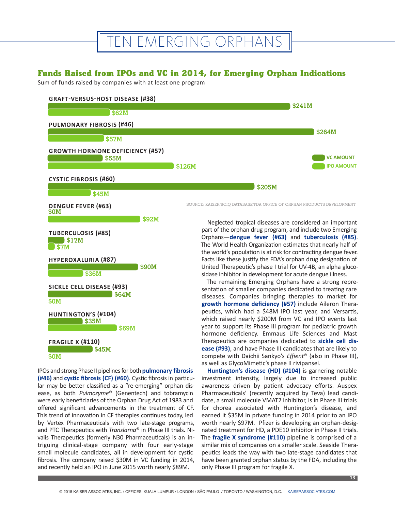### TEN EMERGING ORPHANS

### **Funds Raised from IPOs and VC in 2014, for Emerging Orphan Indications**

Sum of funds raised by companies with at least one program



#### **FRAGILE X (#110) \$0M \$45M**

IPOs and strong Phase II pipelines for both **pulmonary fibrosis (#46)** and **cystic fibrosis (CF) (#60)**. Cystic fibrosis in particular may be better classified as a "re-emerging" orphan disease, as both *Pulmozyme*® (Genentech) and tobramycin were early beneficiaries of the Orphan Drug Act of 1983 and offered significant advancements in the treatment of CF. This trend of innovation in CF therapies continues today, led by Vertex Pharmaceuticals with two late-stage programs, and PTC Therapeutics with *Translarna*® in Phase III trials. Nivalis Therapeutics (formerly N30 Pharmaceuticals) is an intriguing clinical-stage company with four early-stage small molecule candidates, all in development for cystic fibrosis. The company raised \$30M in VC funding in 2014, and recently held an IPO in June 2015 worth nearly \$89M.

hormone deficiency. Emmaus Life Sciences and Mast Therapeutics are companies dedicated to **sickle cell disease (#93)**, and have Phase III candidates that are likely to compete with Daichii Sankyo's *Effient*® (also in Phase III), as well as GlycoMimetic's phase II rivipansel. **Huntington's disease (HD) (#104)** is garnering notable

investment intensity, largely due to increased public awareness driven by patient advocacy efforts. Auspex Pharmaceuticals' (recently acquired by Teva) lead candidate, a small molecule VMAT2 inhibitor, is in Phase III trials for chorea associated with Huntington's disease, and earned it \$35M in private funding in 2014 prior to an IPO worth nearly \$97M. Pfizer is developing an orphan-designated treatment for HD, a PDE10 inhibitor in Phase II trials. The **fragile X syndrome (#110)** pipeline is comprised of a similar mix of companies on a smaller scale. Seaside Therapeutics leads the way with two late-stage candidates that have been granted orphan status by the FDA, including the only Phase III program for fragile X.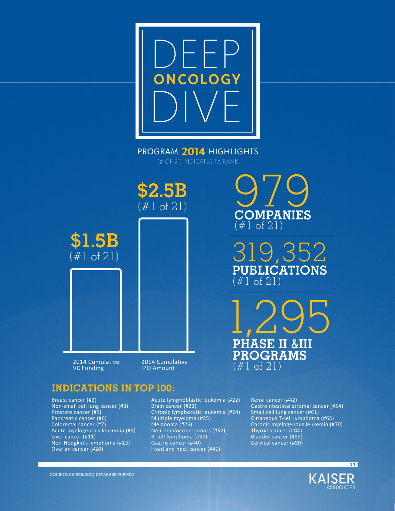

PROGRAM **2014** HIGHLIGHTS (# OF 21) INDICATES TA RANK



**\$1.5B** (#1 of 21)

2014 Cumulative VC Funding

2014 Cumulative IPO Amount

### **INDICATIONS IN TOP 100:**

Breast cancer (#2) Non-small cell lung cancer (#3) Prostate cancer (#5) Pancreatic cancer (#6) Colorectal cancer (#7) Acute myelogenous leukemia (#9) Liver cancer (#11) Non-Hodgkin's lymphoma (#13) Ovarian cancer (#20)

Acute lymphoblastic leukemia (#22) Brain cancer (#23) Chronic lymphocytic leukemia (#24) Multiple myeloma (#25) Melanoma (#26) Neuroendocrine tumors (#32) B-cell lymphoma (#37) Gastric cancer (#40) Head and neck cancer (#41)

070 **COMPANIES** (#1 of 21)

319,352 **PUBLICATIONS** (#1 of 21)

1,295 **PHASE II &III PROGRAMS** (#1 of 21)

> Renal cancer (#42) Gastrointestinal stromal cancer (#54) Small cell lung cancer (#61) Cutaneous T-cell lymphoma (#65) Chronic myelogenous leukemia (#70) Thyroid cancer (#84) Bladder cancer (#89) Cervical cancer (#99)



**14**

SOURCE: KAISER/BCIQ DATABASE/PUBMED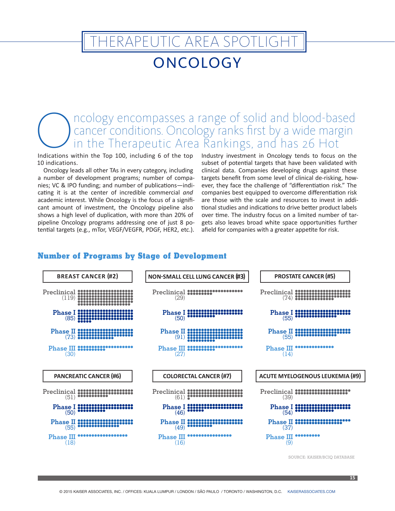### **TERAPEUTIC AREA SPOTLIGHT**

### **ONCOLOGY**

### Cancer conditions. Oncology ranks first by a wide margin<br>in the Therapeutic Area Rankings, and has 26 Hot<br>Indications within the Top 100, including 6 of the top Industry investment in Oncology tends to focus on the cancer conditions. Oncology ranks first by a wide margin in the Therapeutic Area Rankings, and has 26 Hot

Indications within the Top 100, including 6 of the top 10 indications.

Oncology leads all other TAs in every category, including a number of development programs; number of companies; VC & IPO funding; and number of publications—indicating it is at the center of incredible commercial *and* academic interest. While Oncology is the focus of a significant amount of investment, the Oncology pipeline also shows a high level of duplication, with more than 20% of pipeline Oncology programs addressing one of just 8 potential targets (e.g., mTor, VEGF/VEGFR, PDGF, HER2, etc.).

Industry investment in Oncology tends to focus on the subset of potential targets that have been validated with clinical data. Companies developing drugs against these targets benefit from some level of clinical de-risking, however, they face the challenge of "differentiation risk." The companies best equipped to overcome differentiation risk are those with the scale and resources to invest in additional studies and indications to drive better product labels over time. The industry focus on a limited number of targets also leaves broad white space opportunities further afield for companies with a greater appetite for risk.

#### **Number of Programs by Stage of Development**



SOURCE: KAISEB/BCIO DATABASE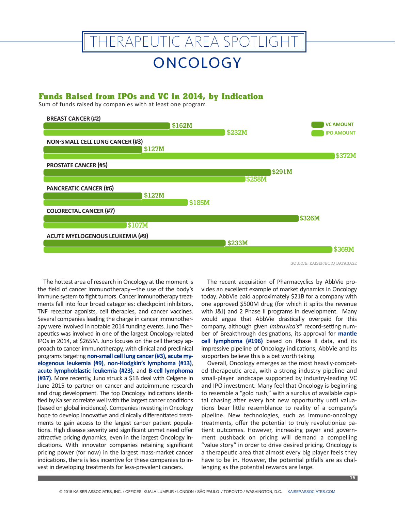# THERAPEUTIC AREA SPOTLIGHT

### **ONCOLOGY**

#### **Funds Raised from IPOs and VC in 2014, by Indication**

Sum of funds raised by companies with at least one program



SOURCE: KAISER/BCIQ DATABASE

The hottest area of research in Oncology at the moment is the field of cancer immunotherapy—the use of the body's immune system to fight tumors. Cancer immunotherapy treatments fall into four broad categories: checkpoint inhibitors, TNF receptor agonists, cell therapies, and cancer vaccines. Several companies leading the charge in cancer immunotherapy were involved in notable 2014 funding events. Juno Therapeutics was involved in one of the largest Oncology-related IPOs in 2014, at \$265M. Juno focuses on the cell therapy approach to cancer immunotherapy, with clinical and preclinical programs targeting **non-small cell lung cancer (#3), acute myelogenous leukemia (#9)**, **non-Hodgkin's lymphoma (#13)**, **acute lymphoblastic leukemia (#23)**, and **B-cell lymphoma (#37)**. More recently, Juno struck a \$1B deal with Celgene in June 2015 to partner on cancer and autoimmune research and drug development. The top Oncology indications identified by Kaiser correlate well with the largest cancer conditions (based on global incidence). Companies investing in Oncology hope to develop innovative and clinically differentiated treatments to gain access to the largest cancer patient populations. High disease severity and significant unmet need offer attractive pricing dynamics, even in the largest Oncology indications. With innovator companies retaining significant pricing power (for now) in the largest mass-market cancer indications, there is less incentive for these companies to invest in developing treatments for less-prevalent cancers.

The recent acquisition of Pharmacyclics by AbbVie provides an excellent example of market dynamics in Oncology today. AbbVie paid approximately \$21B for a company with one approved \$500M drug (for which it splits the revenue with J&J) and 2 Phase II programs in development. Many would argue that AbbVie drastically overpaid for this company, although given *Imbruvica's*® record-setting number of Breakthrough designations, its approval for **mantle cell lymphoma (#196)** based on Phase II data, and its impressive pipeline of Oncology indications, AbbVie and its supporters believe this is a bet worth taking.

Overall, Oncology emerges as the most heavily-competed therapeutic area, with a strong industry pipeline and small-player landscape supported by industry-leading VC and IPO investment. Many feel that Oncology is beginning to resemble a "gold rush," with a surplus of available capital chasing after every hot new opportunity until valuations bear little resemblance to reality of a company's pipeline. New technologies, such as immuno-oncology treatments, offer the potential to truly revolutionize patient outcomes. However, increasing payer and government pushback on pricing will demand a compelling "value story" in order to drive desired pricing. Oncology is a therapeutic area that almost every big player feels they have to be in. However, the potential pitfalls are as challenging as the potential rewards are large.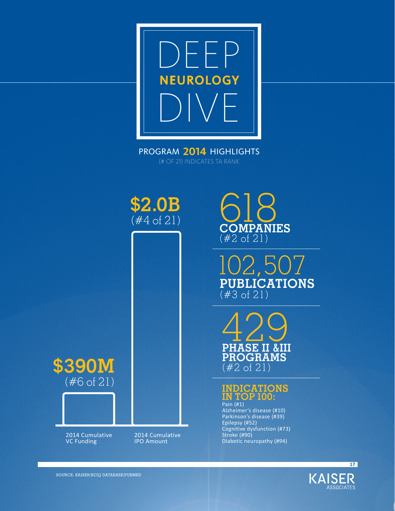DEEP NEUROLOGY DIVE

PROGRAM **2014** HIGHLIGHTS (# OF 21) INDICATES TA RANK



618 **COMPANIES** (#2 of 21)

102,507 **PUBLICATIONS** (#3 of 21)





Alzheimer's disease (#10) Parkinson's disease (#39) Epilepsy (#52) Cognitive dysfunction (#73) Stroke (#90) Diabetic neuropathy (#94)



**17**

**\$390M** (#6 of 21)



2014 Cumulative VC Funding

2014 Cumulative IPO Amount

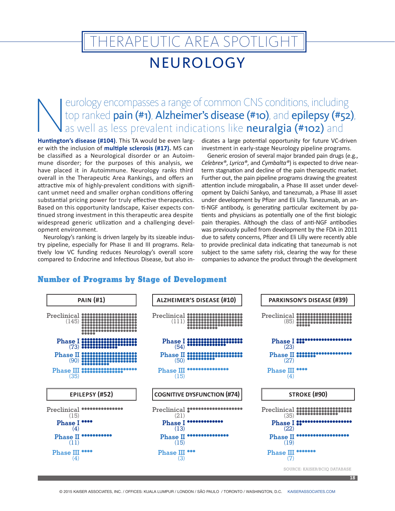# NEUROLOGY **TERAPEUTIC AREA SPOTLIGHT**

eurology encompasses a range of common CNS conditions, including<br>top ranked **pain (#1), Alzheimer's disease (#10)**, and **epilepsy (#52)**<br>as well as less prevalent indications like **neuralgia (#102)** and<br>Huntington's diseas top ranked **pain (#1), Alzheimer's disease (#10)**, and **epilepsy (#52)**, as well as less prevalent indications like **neuralgia (#102)** and

**Huntington's disease (#104)**. This TA would be even larger with the inclusion of **multiple sclerosis (#17).** MS can be classified as a Neurological disorder or an Autoimmune disorder; for the purposes of this analysis, we have placed it in Autoimmune. Neurology ranks third overall in the Therapeutic Area Rankings, and offers an attractive mix of highly-prevalent conditions with significant unmet need and smaller orphan conditions offering substantial pricing power for truly effective therapeutics. Based on this opportunity landscape, Kaiser expects continued strong investment in this therapeutic area despite widespread generic utilization and a challenging development environment.

Neurology's ranking is driven largely by its sizeable industry pipeline, especially for Phase II and III programs. Relatively low VC funding reduces Neurology's overall score compared to Endocrine and Infectious Disease, but also indicates a large potential opportunity for future VC-driven investment in early-stage Neurology pipeline programs.

Generic erosion of several major branded pain drugs (e.g., *Celebrex®*, *Lyrica®*, and *Cymbalta®*) is expected to drive nearterm stagnation and decline of the pain therapeutic market. Further out, the pain pipeline programs drawing the greatest attention include mirogabalin, a Phase III asset under development by Daiichi Sankyo, and tanezumab, a Phase III asset under development by Pfizer and Eli Lilly. Tanezumab, an anti-NGF antibody, is generating particular excitement by patients and physicians as potentially one of the first biologic pain therapies. Although the class of anti-NGF antibodies was previously pulled from development by the FDA in 2011 due to safety concerns, Pfizer and Eli Lilly were recently able to provide preclinical data indicating that tanezumab is not subject to the same safety risk, clearing the way for these companies to advance the product through the development

#### **Number of Programs by Stage of Development**

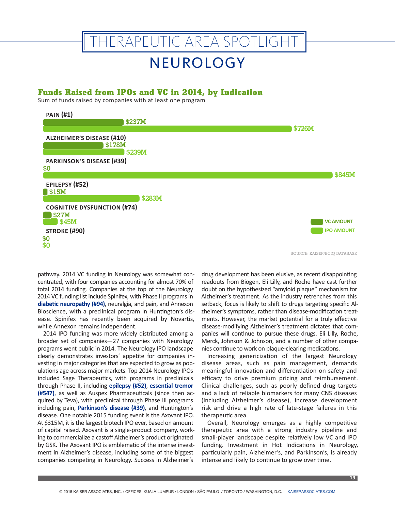# HERAPEUTIC AREA SPOTLIGHT

### NEUROLOGY

#### **Funds Raised from IPOs and VC in 2014, by Indication**

Sum of funds raised by companies with at least one program



SOURCE: KAISER/BCIQ DATABASE

pathway. 2014 VC funding in Neurology was somewhat concentrated, with four companies accounting for almost 70% of total 2014 funding. Companies at the top of the Neurology 2014 VC funding list include Spinifex, with Phase II programs in **diabetic neuropathy (#94)**, neuralgia, and pain, and Annexon Bioscience, with a preclinical program in Huntington's disease. Spinifex has recently been acquired by Novartis, while Annexon remains independent.

2014 IPO funding was more widely distributed among a broader set of companies—27 companies with Neurology programs went public in 2014. The Neurology IPO landscape clearly demonstrates investors' appetite for companies investing in major categories that are expected to grow as populations age across major markets. Top 2014 Neurology IPOs included Sage Therapeutics, with programs in preclinicals through Phase II, including **epilepsy (#52)**, **essential tremor (#547)**, as well as Auspex Pharmaceuticals (since then acquired by Teva), with preclinical through Phase III programs including pain, **Parkinson's disease (#39)**, and Huntington's disease. One notable 2015 funding event is the Axovant IPO. At \$315M, it is the largest biotech IPO ever, based on amount of capital raised. Axovant is a single-product company, working to commercialize a castoff Alzheimer's product originated by GSK. The Axovant IPO is emblematic of the intense investment in Alzheimer's disease, including some of the biggest companies competing in Neurology. Success in Alzheimer's

drug development has been elusive, as recent disappointing readouts from Biogen, Eli Lilly, and Roche have cast further doubt on the hypothesized "amyloid plaque" mechanism for Alzheimer's treatment. As the industry retrenches from this setback, focus is likely to shift to drugs targeting specific Alzheimer's symptoms, rather than disease-modification treatments. However, the market potential for a truly effective disease-modifying Alzheimer's treatment dictates that companies will continue to pursue these drugs. Eli Lilly, Roche, Merck, Johnson & Johnson, and a number of other companies continue to work on plaque-clearing medications.

Increasing genericization of the largest Neurology disease areas, such as pain management, demands meaningful innovation and differentiation on safety and efficacy to drive premium pricing and reimbursement. Clinical challenges, such as poorly defined drug targets and a lack of reliable biomarkers for many CNS diseases (including Alzheimer's disease), increase development risk and drive a high rate of late-stage failures in this therapeutic area.

Overall, Neurology emerges as a highly competitive therapeutic area with a strong industry pipeline and small-player landscape despite relatively low VC and IPO funding. Investment in Hot Indications in Neurology, particularly pain, Alzheimer's, and Parkinson's, is already intense and likely to continue to grow over time.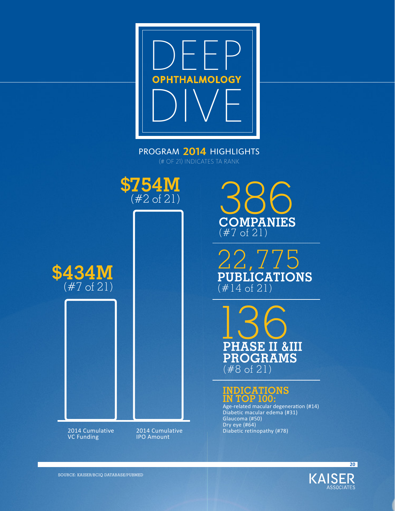

PROGRAM **2014** HIGHLIGHTS (# OF 21) INDICATES TA RANK



**\$434M** (#7 of 21)

> 2014 Cumulative VC Funding

2014 Cumulative IPO Amount

386 **COMPANIES** (#7 of 21)

22,775 **PUBLICATIONS**  $($  # 14 of 21)

136 **PHASE II &III PROGRAMS**  $($  #8 of 21)

### **INDICATIONS IN TOP 100:**

Age-related macular degeneration (#14) Diabetic macular edema (#31) Glaucoma (#50) Dry eye (#64) Diabetic retinopathy (#78)

> **KAISER ASSOCIATES**

**20**

SOURCE: KAISER/BCIQ DATABASE/PUBMED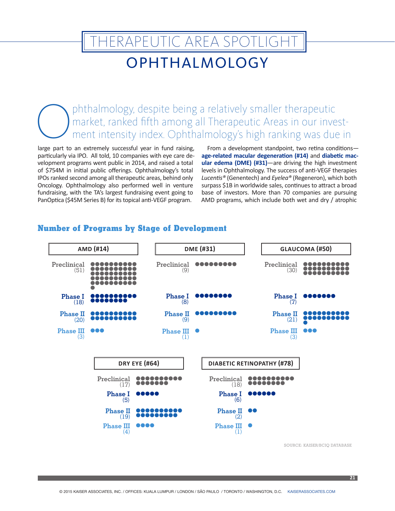# OPHTHALMOLOGY HERAPEUTIC AREA SPOTLIGHT

Ophthalmology, despite being a relatively smaller therapeutic<br>market, ranked fifth among all Therapeutic Areas in our inverse ment intensity index. Ophthalmology's high ranking was due market, ranked fifth among all Therapeutic Areas in our investment intensity index. Ophthalmology's high ranking was due in

large part to an extremely successful year in fund raising, particularly via IPO. All told, 10 companies with eye care development programs went public in 2014, and raised a total of \$754M in initial public offerings. Ophthalmology's total IPOs ranked second among all therapeutic areas, behind only Oncology. Ophthalmology also performed well in venture fundraising, with the TA's largest fundraising event going to PanOptica (\$45M Series B) for its topical anti-VEGF program.

From a development standpoint, two retina conditions **age-related macular degeneration (#14)** and **diabetic macular edema (DME) (#31)**—are driving the high investment levels in Ophthalmology. The success of anti-VEGF therapies *Lucentis®* (Genentech) and *Eyelea®* (Regeneron), which both surpass \$1B in worldwide sales, continues to attract a broad base of investors. More than 70 companies are pursuing AMD programs, which include both wet and dry / atrophic



### **Number of Programs by Stage of Development**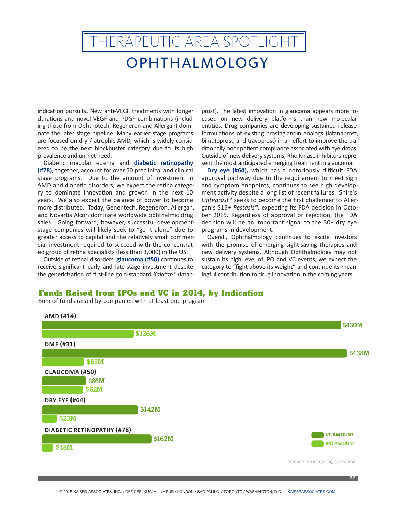# THERAPEUTIC AREA SPOTLIGHT

### OPHTHALMOLOGY

indication pursuits. New anti-VEGF treatments with longer durations and novel VEGF and PDGF combinations (including those from Ophthotech, Regeneron and Allergan) dominate the later stage pipeline. Many earlier stage programs are focused on dry / atrophic AMD, which is widely considered to be the next blockbuster category due to its high prevalence and unmet need.

Diabetic macular edema and **diabetic retinopathy (#78)**, together, account for over 50 preclinical and clinical stage programs. Due to the amount of investment in AMD and diabetic disorders, we expect the retina category to dominate innovation and growth in the next 10 years. We also expect the balance of power to become more distributed. Today, Genentech, Regeneron, Allergan, and Novartis Alcon dominate worldwide ophthalmic drug sales. Going forward, however, successful developmentstage companies will likely seek to "go it alone" due to greater access to capital and the relatively small commercial investment required to succeed with the concentrated group of retina specialists (less than 3,000) in the US.

Outside of retinal disorders, **glaucoma (#50)** continues to receive significant early and late-stage investment despite the genericization of first-line gold-standard *Xalatan®* (latanprost). The latest innovation in glaucoma appears more focused on new delivery platforms than new molecular entities. Drug companies are developing sustained release formulations of existing prostaglandin analogs (latanaprost, bimatoprost, and travoprost) in an effort to improve the traditionally poor patient compliance associated with eye drops. Outside of new delivery systems, Rho Kinase inhibitors represent the most anticipated emerging treatment in glaucoma.

**Dry eye (#64)***,* which has a notoriously difficult FDA approval pathway due to the requirement to meet sign and symptom endpoints, continues to see high development activity despite a long list of recent failures. Shire's *Lifitegrast®* seeks to become the first challenger to Allergan's \$1B+ *Restasis®*, expecting its FDA decision in October 2015. Regardless of approval or rejection, the FDA decision will be an important signal to the 30+ dry eye programs in development.

Overall, Ophthalmology continues to excite investors with the promise of emerging sight-saving therapies and new delivery systems. Although Ophthalmology may not sustain its high level of IPO and VC events, we expect the category to "fight above its weight" and continue its meaningful contribution to drug innovation in the coming years.

#### **Funds Raised from IPOs and VC in 2014, by Indication**

Sum of funds raised by companies with at least one program

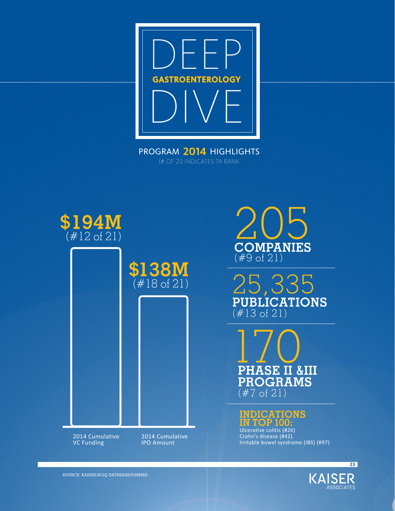

PROGRAM **2014** HIGHLIGHTS (# OF 21) INDICATES TA RANK



2014 Cumulative VC Funding

2014 Cumulative IPO Amount

205 **COMPANIES** (#9 of 21)

25,335 **PUBLICATIONS** (#13 of 21)

**170 PHASE II &III PROGRAMS** (#7 of 21)

### **INDICATIONS IN TOP 100:**

Ulcerative colitis (#26) Crohn's disease (#42) Irritable bowel syndrome (IBS) (#97)



**23**

SOURCE: KAISER/BCIQ DATABASE/PUBMED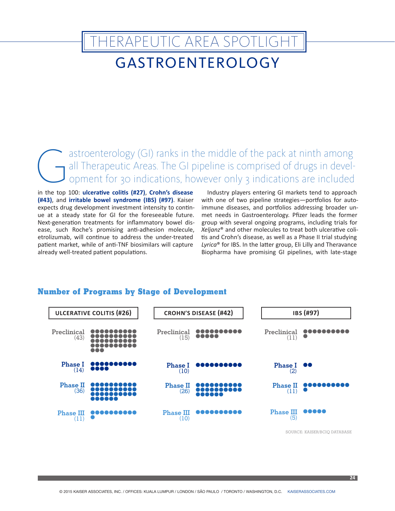# GASTROENTEROLOGY THERAPEUTIC AREA SPOTLIGHT

GI) ranks in the middle of the pack at ninth among<br>all Therapeutic Areas. The GI pipeline is comprised of drugs in devel-<br>opment for 30 indications, however only 3 indications are included<br>in the top 100: ulterative clitic all Therapeutic Areas. The GI pipeline is comprised of drugs in development for 30 indications, however only 3 indications are included

in the top 100: **ulcerative colitis (#27)**, **Crohn's disease (#43)**, and **irritable bowel syndrome (IBS) (#97)**. Kaiser expects drug development investment intensity to continue at a steady state for GI for the foreseeable future. Next-generation treatments for inflammatory bowel disease, such Roche's promising anti-adhesion molecule, etrolizumab, will continue to address the under-treated patient market, while of anti-TNF biosimilars will capture already well-treated patient populations.

Industry players entering GI markets tend to approach with one of two pipeline strategies—portfolios for autoimmune diseases, and portfolios addressing broader unmet needs in Gastroenterology. Pfizer leads the former group with several ongoing programs, including trials for *Xeljanz*® and other molecules to treat both ulcerative colitis and Crohn's disease, as well as a Phase II trial studying *Lyrica*® for IBS. In the latter group, Eli Lilly and Theravance Biopharma have promising GI pipelines, with late-stage

#### **Number of Programs by Stage of Development**

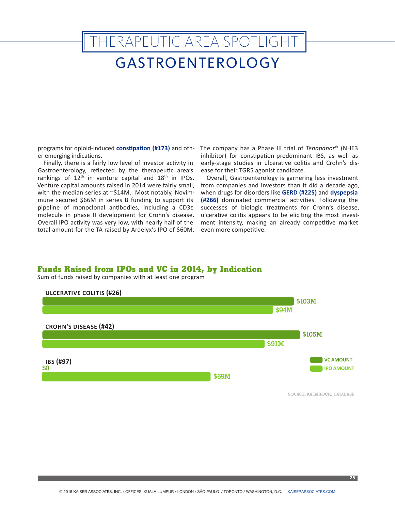# GASTROENTEROLOGY THERAPEUTIC AREA SPOTLIGHT

programs for opioid-induced **constipation (#173)** and other emerging indications.

Finally, there is a fairly low level of investor activity in Gastroenterology, reflected by the therapeutic area's rankings of 12<sup>th</sup> in venture capital and 18<sup>th</sup> in IPOs. Venture capital amounts raised in 2014 were fairly small, with the median series at ~\$14M. Most notably, Novimmune secured \$66M in series B funding to support its pipeline of monoclonal antibodies, including a CD3ε molecule in phase II development for Crohn's disease. Overall IPO activity was very low, with nearly half of the total amount for the TA raised by Ardelyx's IPO of \$60M.

The company has a Phase III trial of *Tenapanor*® (NHE3 inhibitor) for constipation-predominant IBS, as well as early-stage studies in ulcerative colitis and Crohn's disease for their TGR5 agonist candidate.

Overall, Gastroenterology is garnering less investment from companies and investors than it did a decade ago, when drugs for disorders like **GERD (#225)** and **dyspepsia (#266)** dominated commercial activities. Following the successes of biologic treatments for Crohn's disease, ulcerative colitis appears to be eliciting the most investment intensity, making an already competitive market even more competitive.

#### **Funds Raised from IPOs and VC in 2014, by Indication**

Sum of funds raised by companies with at least one program



SOURCE: KAISER/BCIQ DATABASE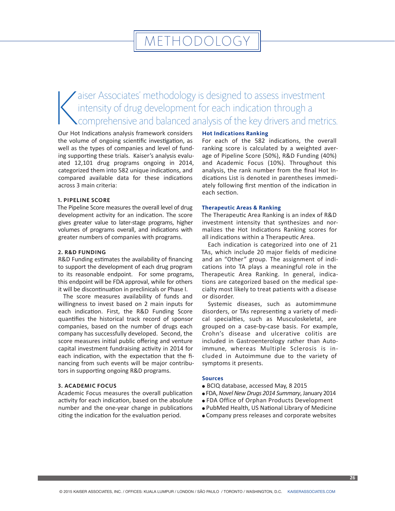### **METHODOLOGY**

### $\bigwedge$ aiser Associates' methodology is designed to assess investment intensity of drug development for each indication through a comprehensive and balanced analysis of the key drivers and metrics.

Our Hot Indications analysis framework considers the volume of ongoing scientific investigation, as well as the types of companies and level of funding supporting these trials. Kaiser's analysis evaluated 12,101 drug programs ongoing in 2014, categorized them into 582 unique indications, and compared available data for these indications across 3 main criteria:

#### **1. PIPELINE SCORE**

The Pipeline Score measures the overall level of drug development activity for an indication. The score gives greater value to later-stage programs, higher volumes of programs overall, and indications with greater numbers of companies with programs.

#### **2. R&D FUNDING**

R&D Funding estimates the availability of financing to support the development of each drug program to its reasonable endpoint. For some programs, this endpoint will be FDA approval, while for others it will be discontinuation in preclinicals or Phase I.

The score measures availability of funds and willingness to invest based on 2 main inputs for each indication. First, the R&D Funding Score quantifies the historical track record of sponsor companies, based on the number of drugs each company has successfully developed. Second, the score measures initial public offering and venture capital investment fundraising activity in 2014 for each indication, with the expectation that the financing from such events will be major contributors in supporting ongoing R&D programs.

#### **3. ACADEMIC FOCUS**

Academic Focus measures the overall publication activity for each indication, based on the absolute number and the one-year change in publications citing the indication for the evaluation period.

#### **Hot Indications Ranking**

For each of the 582 indications, the overall ranking score is calculated by a weighted average of Pipeline Score (50%), R&D Funding (40%) and Academic Focus (10%). Throughout this analysis, the rank number from the final Hot Indications List is denoted in parentheses immediately following first mention of the indication in each section.

#### **Therapeutic Areas & Ranking**

The Therapeutic Area Ranking is an index of R&D investment intensity that synthesizes and normalizes the Hot Indications Ranking scores for all indications within a Therapeutic Area.

Each indication is categorized into one of 21 TAs, which include 20 major fields of medicine and an "Other" group. The assignment of indications into TA plays a meaningful role in the Therapeutic Area Ranking. In general, indications are categorized based on the medical specialty most likely to treat patients with a disease or disorder.

Systemic diseases, such as automimmune disorders, or TAs representing a variety of medical specialties, such as Musculoskeletal, are grouped on a case-by-case basis. For example, Crohn's disease and ulcerative colitis are included in Gastroenterology rather than Autoimmune, whereas Multiple Sclerosis is included in Autoimmune due to the variety of symptoms it presents.

#### **Sources**

- BCIQ database, accessed May, 8 2015
- <sup>l</sup> FDA, *Novel New Drugs 2014 Summary*, January 2014
- FDA Office of Orphan Products Development
- <sup>l</sup> PubMed Health, US National Library of Medicine
- Company press releases and corporate websites